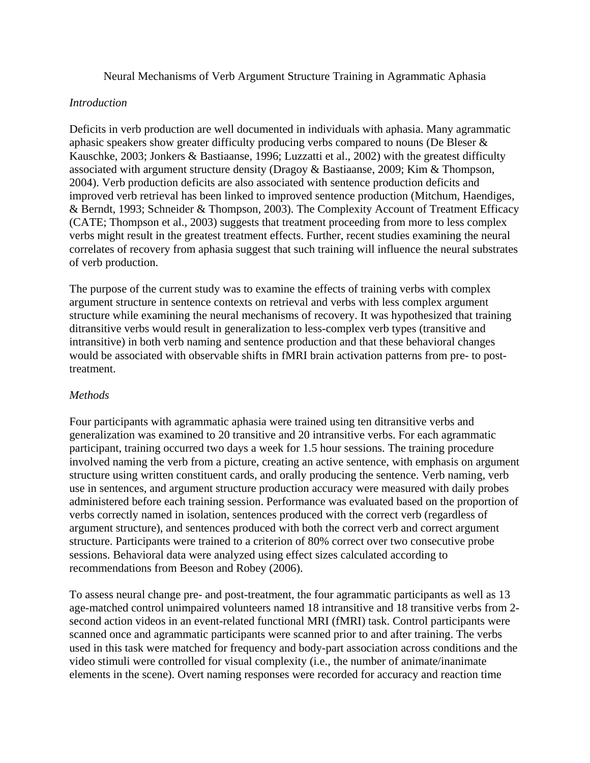Neural Mechanisms of Verb Argument Structure Training in Agrammatic Aphasia

## *Introduction*

Deficits in verb production are well documented in individuals with aphasia. Many agrammatic aphasic speakers show greater difficulty producing verbs compared to nouns (De Bleser & Kauschke, 2003; Jonkers & Bastiaanse, 1996; Luzzatti et al., 2002) with the greatest difficulty associated with argument structure density (Dragoy & Bastiaanse, 2009; Kim & Thompson, 2004). Verb production deficits are also associated with sentence production deficits and improved verb retrieval has been linked to improved sentence production (Mitchum, Haendiges, & Berndt, 1993; Schneider & Thompson, 2003). The Complexity Account of Treatment Efficacy (CATE; Thompson et al., 2003) suggests that treatment proceeding from more to less complex verbs might result in the greatest treatment effects. Further, recent studies examining the neural correlates of recovery from aphasia suggest that such training will influence the neural substrates of verb production.

The purpose of the current study was to examine the effects of training verbs with complex argument structure in sentence contexts on retrieval and verbs with less complex argument structure while examining the neural mechanisms of recovery. It was hypothesized that training ditransitive verbs would result in generalization to less-complex verb types (transitive and intransitive) in both verb naming and sentence production and that these behavioral changes would be associated with observable shifts in fMRI brain activation patterns from pre- to posttreatment.

## *Methods*

Four participants with agrammatic aphasia were trained using ten ditransitive verbs and generalization was examined to 20 transitive and 20 intransitive verbs. For each agrammatic participant, training occurred two days a week for 1.5 hour sessions. The training procedure involved naming the verb from a picture, creating an active sentence, with emphasis on argument structure using written constituent cards, and orally producing the sentence. Verb naming, verb use in sentences, and argument structure production accuracy were measured with daily probes administered before each training session. Performance was evaluated based on the proportion of verbs correctly named in isolation, sentences produced with the correct verb (regardless of argument structure), and sentences produced with both the correct verb and correct argument structure. Participants were trained to a criterion of 80% correct over two consecutive probe sessions. Behavioral data were analyzed using effect sizes calculated according to recommendations from Beeson and Robey (2006).

To assess neural change pre- and post-treatment, the four agrammatic participants as well as 13 age-matched control unimpaired volunteers named 18 intransitive and 18 transitive verbs from 2 second action videos in an event-related functional MRI (fMRI) task. Control participants were scanned once and agrammatic participants were scanned prior to and after training. The verbs used in this task were matched for frequency and body-part association across conditions and the video stimuli were controlled for visual complexity (i.e., the number of animate/inanimate elements in the scene). Overt naming responses were recorded for accuracy and reaction time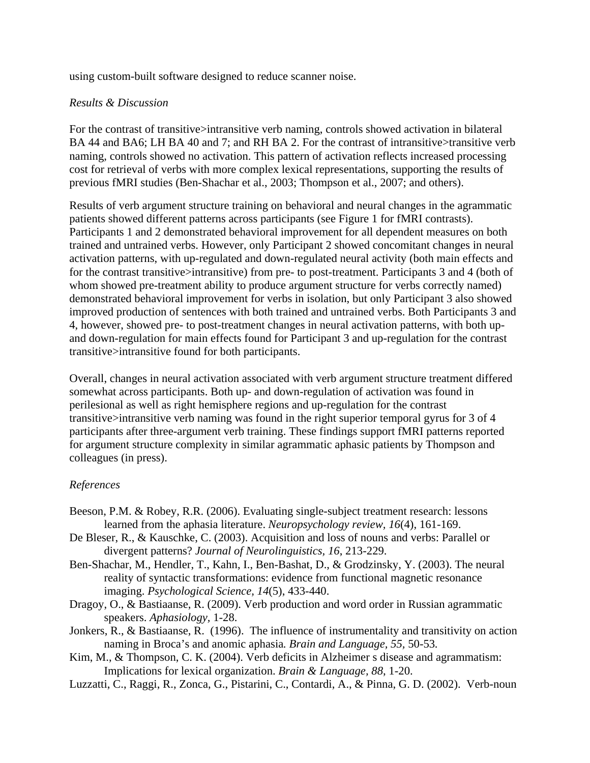using custom-built software designed to reduce scanner noise.

## *Results & Discussion*

For the contrast of transitive>intransitive verb naming, controls showed activation in bilateral BA 44 and BA6; LH BA 40 and 7; and RH BA 2. For the contrast of intransitive>transitive verb naming, controls showed no activation. This pattern of activation reflects increased processing cost for retrieval of verbs with more complex lexical representations, supporting the results of previous fMRI studies (Ben-Shachar et al., 2003; Thompson et al., 2007; and others).

Results of verb argument structure training on behavioral and neural changes in the agrammatic patients showed different patterns across participants (see Figure 1 for fMRI contrasts). Participants 1 and 2 demonstrated behavioral improvement for all dependent measures on both trained and untrained verbs. However, only Participant 2 showed concomitant changes in neural activation patterns, with up-regulated and down-regulated neural activity (both main effects and for the contrast transitive>intransitive) from pre- to post-treatment. Participants 3 and 4 (both of whom showed pre-treatment ability to produce argument structure for verbs correctly named) demonstrated behavioral improvement for verbs in isolation, but only Participant 3 also showed improved production of sentences with both trained and untrained verbs. Both Participants 3 and 4, however, showed pre- to post-treatment changes in neural activation patterns, with both upand down-regulation for main effects found for Participant 3 and up-regulation for the contrast transitive>intransitive found for both participants.

Overall, changes in neural activation associated with verb argument structure treatment differed somewhat across participants. Both up- and down-regulation of activation was found in perilesional as well as right hemisphere regions and up-regulation for the contrast transitive>intransitive verb naming was found in the right superior temporal gyrus for 3 of 4 participants after three-argument verb training. These findings support fMRI patterns reported for argument structure complexity in similar agrammatic aphasic patients by Thompson and colleagues (in press).

## *References*

- Beeson, P.M. & Robey, R.R. (2006). Evaluating single-subject treatment research: lessons learned from the aphasia literature. *Neuropsychology review, 16*(4), 161-169.
- De Bleser, R., & Kauschke, C. (2003). Acquisition and loss of nouns and verbs: Parallel or divergent patterns? *Journal of Neurolinguistics, 16*, 213-229.
- Ben-Shachar, M., Hendler, T., Kahn, I., Ben-Bashat, D., & Grodzinsky, Y. (2003). The neural reality of syntactic transformations: evidence from functional magnetic resonance imaging. *Psychological Science, 14*(5), 433-440.
- Dragoy, O., & Bastiaanse, R. (2009). Verb production and word order in Russian agrammatic speakers. *Aphasiology,* 1-28.
- Jonkers, R., & Bastiaanse, R. (1996). The influence of instrumentality and transitivity on action naming in Broca's and anomic aphasia*. Brain and Language, 55,* 50-53*.*
- Kim, M., & Thompson, C. K. (2004). Verb deficits in Alzheimer s disease and agrammatism: Implications for lexical organization. *Brain & Language, 88*, 1-20.
- Luzzatti, C., Raggi, R., Zonca, G., Pistarini, C., Contardi, A., & Pinna, G. D. (2002). Verb-noun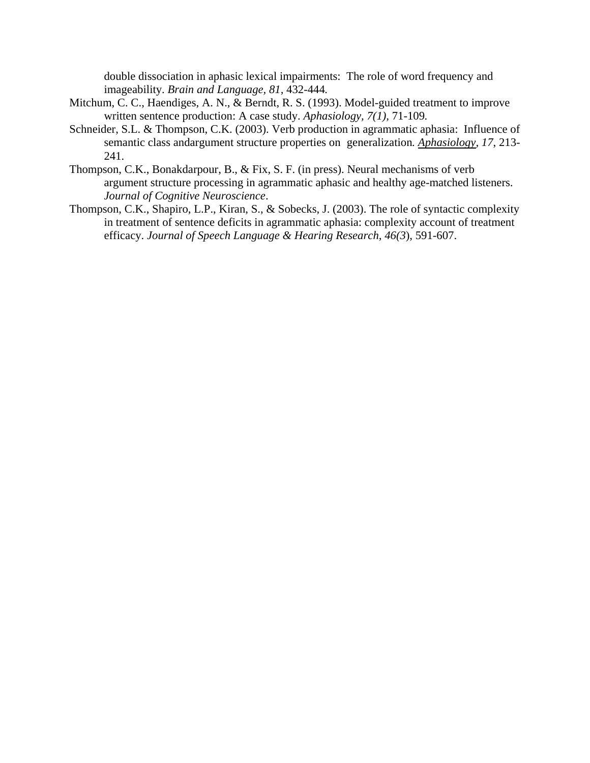double dissociation in aphasic lexical impairments: The role of word frequency and imageability. *Brain and Language, 81,* 432-444*.* 

- Mitchum, C. C., Haendiges, A. N., & Berndt, R. S. (1993). Model-guided treatment to improve written sentence production: A case study. *Aphasiology, 7(1),* 71-109*.*
- Schneider, S.L. & Thompson, C.K. (2003). Verb production in agrammatic aphasia: Influence of semantic class andargument structure properties on generalization*. Aphasiology, 17*, 213- 241.
- Thompson, C.K., Bonakdarpour, B., & Fix, S. F. (in press). Neural mechanisms of verb argument structure processing in agrammatic aphasic and healthy age-matched listeners. *Journal of Cognitive Neuroscience*.
- Thompson, C.K., Shapiro, L.P., Kiran, S., & Sobecks, J. (2003). The role of syntactic complexity in treatment of sentence deficits in agrammatic aphasia: complexity account of treatment efficacy. *Journal of Speech Language & Hearing Research, 46(3*), 591-607.